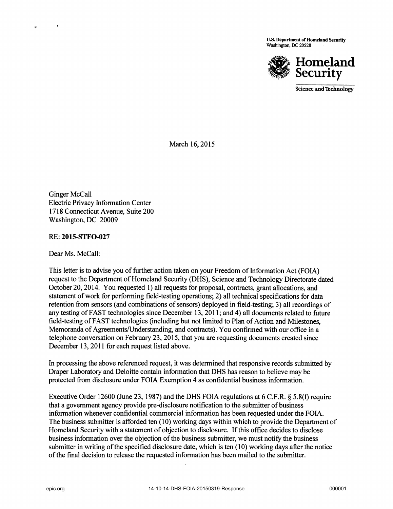U.s. Department of Homeland Security Washington, DC 20528



Science and Technology

March 16,2015

Ginger McCall Electric Privacy Information Center 1718 Connecticut Avenue, Suite 200 Washington, DC 20009

RE: 201S-STFO-027

Dear Ms. McCall:

This letter is to advise you of further action taken on your Freedom of Information Act (FOIA) request to the Department of Homeland Security (DHS), Science and Technology Directorate dated October 20, 2014. You requested 1) all requests for proposal, contracts, grant allocations, and statement of work for performing field-testing operations; 2) all technical specifications for data retention from sensors (and combinations of sensors) deployed in field-testing; 3) all recordings of any testing of FAST technologies since December 13, 2011; and 4) all documents related to future field-testing ofF AST technologies (including but not limited to Plan of Action and Milestones, Memoranda of Agreements/Understanding, and contracts). You confirmed with our office in a telephone conversation on February 23, 2015, that you are requesting documents created since December 13,2011 for each request listed above.

In processing the above referenced request, it was determined that responsive records submitted by Draper Laboratory and Deloitte contain information that DHS has reason to believe may be protected from disclosure under FOIA Exemption 4 as confidential business information.

Executive Order 12600 (June 23, 1987) and the DHS FOIA regulations at 6 C.F.R. § 5.8(f) require that a government agency provide pre-disclosure notification to the submitter of business information whenever confidential commercial information has been requested under the FOIA. The business submitter is afforded ten (10) working days within which to provide the Department of Homeland Security with a statement of objection to disclosure. If this office decides to disclose business information over the objection of the business submitter, we must notify the business submitter in writing of the specified disclosure date, which is ten (10) working days after the notice of the final decision to release the requested information has been mailed to the submitter.